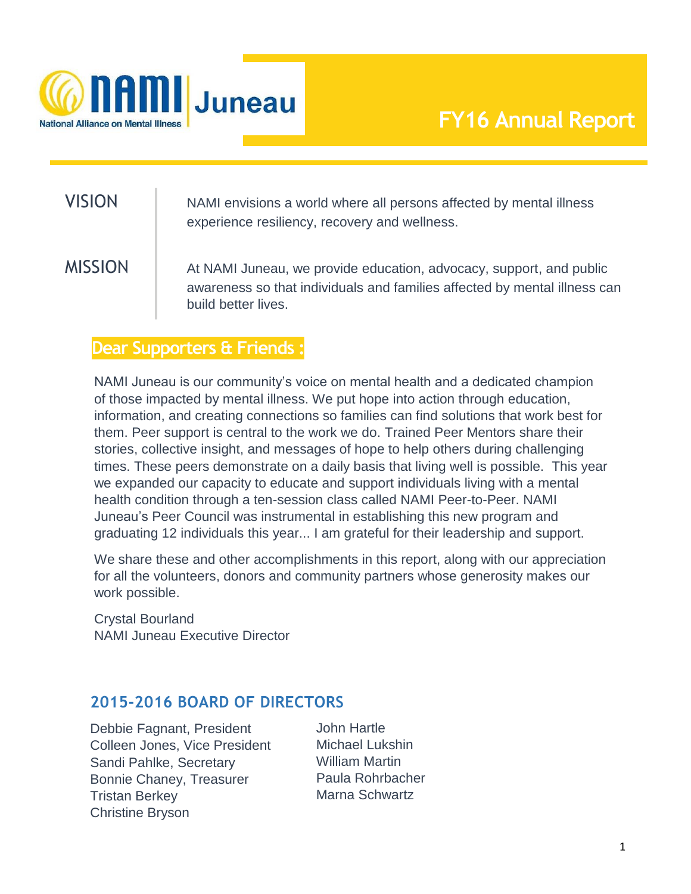

# VISION NAMI envisions a world where all persons affected by mental illness experience resiliency, recovery and wellness.

MISSION At NAMI Juneau, we provide education, advocacy, support, and public awareness so that individuals and families affected by mental illness can build better lives.

### **Dear Supporters & Friends :**

NAMI Juneau is our community's voice on mental health and a dedicated champion of those impacted by mental illness. We put hope into action through education, information, and creating connections so families can find solutions that work best for them. Peer support is central to the work we do. Trained Peer Mentors share their stories, collective insight, and messages of hope to help others during challenging times. These peers demonstrate on a daily basis that living well is possible. This year we expanded our capacity to educate and support individuals living with a mental health condition through a ten-session class called NAMI Peer-to-Peer. NAMI Juneau's Peer Council was instrumental in establishing this new program and graduating 12 individuals this year... I am grateful for their leadership and support.

We share these and other accomplishments in this report, along with our appreciation for all the volunteers, donors and community partners whose generosity makes our work possible.

Crystal Bourland NAMI Juneau Executive Director

#### **2015-2016 BOARD OF DIRECTORS**

Debbie Fagnant, President Colleen Jones, Vice President Sandi Pahlke, Secretary Bonnie Chaney, Treasurer Tristan Berkey Christine Bryson

John Hartle Michael Lukshin William Martin Paula Rohrbacher Marna Schwartz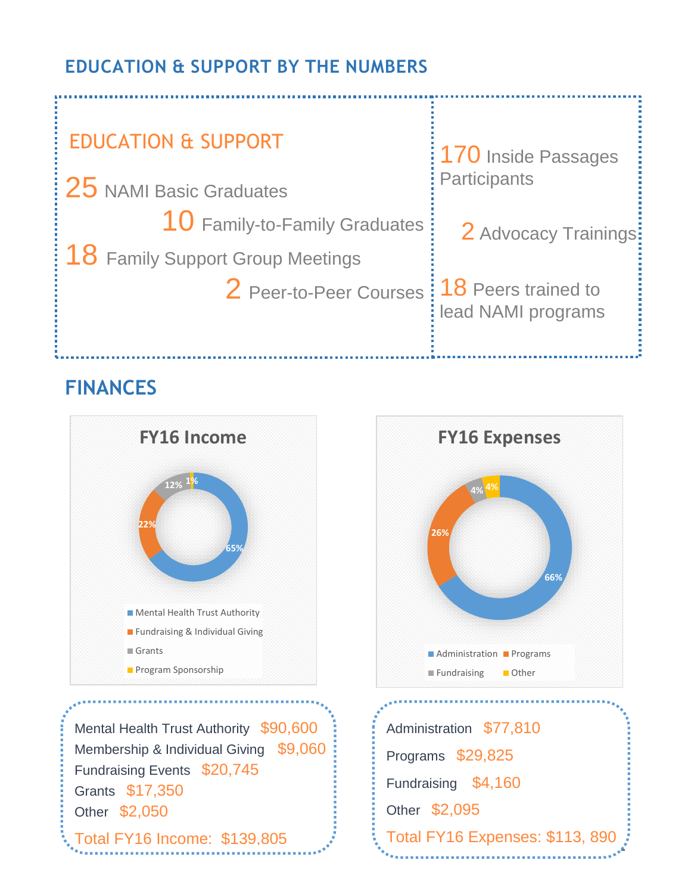### **EDUCATION & SUPPORT BY THE NUMBERS**



## **FINANCES**



Total FY16 Income: \$139,805



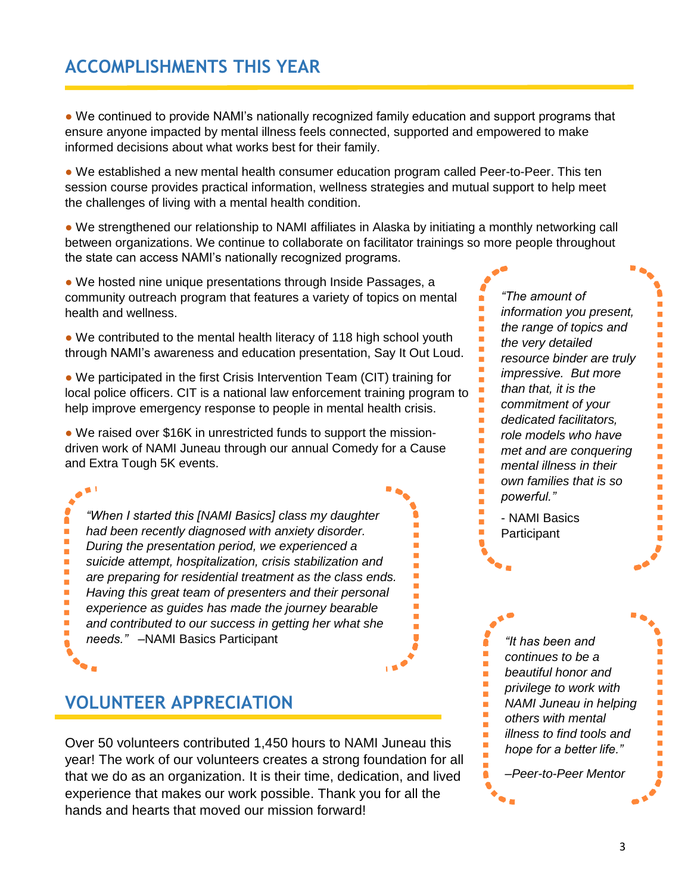### **ACCOMPLISHMENTS THIS YEAR**

• We continued to provide NAMI's nationally recognized family education and support programs that ensure anyone impacted by mental illness feels connected, supported and empowered to make informed decisions about what works best for their family.

• We established a new mental health consumer education program called Peer-to-Peer. This ten session course provides practical information, wellness strategies and mutual support to help meet the challenges of living with a mental health condition.

● We strengthened our relationship to NAMI affiliates in Alaska by initiating a monthly networking call between organizations. We continue to collaborate on facilitator trainings so more people throughout the state can access NAMI's nationally recognized programs.

• We hosted nine unique presentations through Inside Passages, a community outreach program that features a variety of topics on mental health and wellness.

• We contributed to the mental health literacy of 118 high school youth through NAMI's awareness and education presentation, Say It Out Loud.

• We participated in the first Crisis Intervention Team (CIT) training for local police officers. CIT is a national law enforcement training program to help improve emergency response to people in mental health crisis.

• We raised over \$16K in unrestricted funds to support the missiondriven work of NAMI Juneau through our annual Comedy for a Cause and Extra Tough 5K events.

*"When I started this [NAMI Basics] class my daughter had been recently diagnosed with anxiety disorder. During the presentation period, we experienced a suicide attempt, hospitalization, crisis stabilization and are preparing for residential treatment as the class ends. Having this great team of presenters and their personal experience as guides has made the journey bearable and contributed to our success in getting her what she needs."* –NAMI Basics Participant

### **VOLUNTEER APPRECIATION**

Ē. Ì. Ē. Ì. Ē. Ì. Ė Ē. Ē.

> Over 50 volunteers contributed 1,450 hours to NAMI Juneau this year! The work of our volunteers creates a strong foundation for all that we do as an organization. It is their time, dedication, and lived experience that makes our work possible. Thank you for all the hands and hearts that moved our mission forward!

*"The amount of information you present, the range of topics and the very detailed resource binder are truly impressive. But more than that, it is the commitment of your dedicated facilitators, role models who have met and are conquering mental illness in their own families that is so powerful."*

F

- NAMI Basics **Participant** 

Ė Ė Ė Ė Ē. Ė Ė

> Ė Ē. г Ė  $\overline{\phantom{0}}$ Ė Ė  $\overline{\phantom{0}}$  $\overline{\phantom{a}}$

*"It has been and continues to be a beautiful honor and privilege to work with NAMI Juneau in helping others with mental illness to find tools and hope for a better life."* 

*–Peer-to-Peer Mentor*